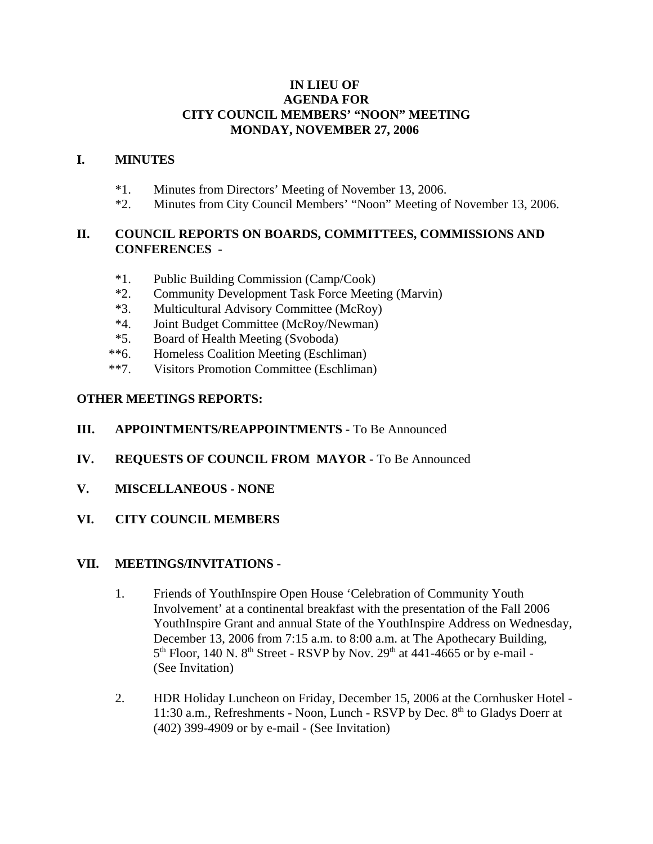## **IN LIEU OF AGENDA FOR CITY COUNCIL MEMBERS' "NOON" MEETING MONDAY, NOVEMBER 27, 2006**

## **I. MINUTES**

- \*1. Minutes from Directors' Meeting of November 13, 2006.
- \*2. Minutes from City Council Members' "Noon" Meeting of November 13, 2006.

# **II. COUNCIL REPORTS ON BOARDS, COMMITTEES, COMMISSIONS AND CONFERENCES -**

- \*1. Public Building Commission (Camp/Cook)
- \*2. Community Development Task Force Meeting (Marvin)
- \*3. Multicultural Advisory Committee (McRoy)
- \*4. Joint Budget Committee (McRoy/Newman)
- \*5. Board of Health Meeting (Svoboda)
- \*\*6. Homeless Coalition Meeting (Eschliman)
- \*\*7. Visitors Promotion Committee (Eschliman)

# **OTHER MEETINGS REPORTS:**

## **III.** APPOINTMENTS/REAPPOINTMENTS - To Be Announced

- **IV. REQUESTS OF COUNCIL FROM MAYOR -** To Be Announced
- **V. MISCELLANEOUS NONE**
- **VI. CITY COUNCIL MEMBERS**

#### **VII. MEETINGS/INVITATIONS** -

- 1. Friends of YouthInspire Open House 'Celebration of Community Youth Involvement' at a continental breakfast with the presentation of the Fall 2006 YouthInspire Grant and annual State of the YouthInspire Address on Wednesday, December 13, 2006 from 7:15 a.m. to 8:00 a.m. at The Apothecary Building,  $5<sup>th</sup>$  Floor, 140 N. 8<sup>th</sup> Street - RSVP by Nov. 29<sup>th</sup> at 441-4665 or by e-mail -(See Invitation)
- 2. HDR Holiday Luncheon on Friday, December 15, 2006 at the Cornhusker Hotel 11:30 a.m., Refreshments - Noon, Lunch - RSVP by Dec.  $8<sup>th</sup>$  to Gladys Doerr at (402) 399-4909 or by e-mail - (See Invitation)